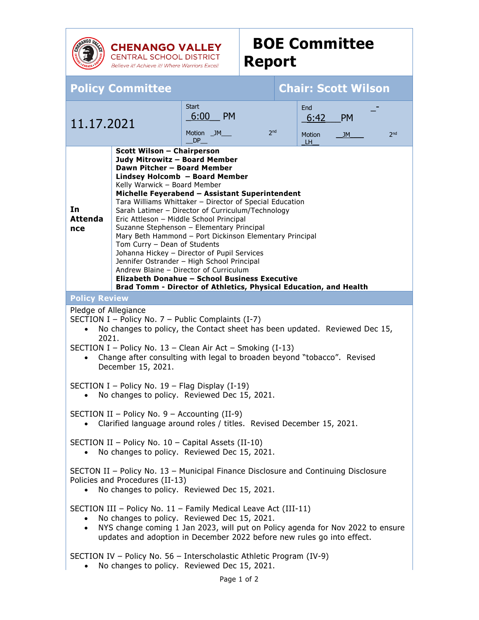

**CHENANGO VALLEY**<br>CENTRAL SCHOOL DISTRICT Believe it! Achieve it! Where Warriors Excel!

## **BOE Committee Report**

| <b>Policy Committee</b>                                                                                                                                                                                                                                                                                                                                                                                                                                                                                                                                                                                                                                                                                                                                                                                              |  |                                                                          | <b>Chair: Scott Wilson</b> |                                                                                  |
|----------------------------------------------------------------------------------------------------------------------------------------------------------------------------------------------------------------------------------------------------------------------------------------------------------------------------------------------------------------------------------------------------------------------------------------------------------------------------------------------------------------------------------------------------------------------------------------------------------------------------------------------------------------------------------------------------------------------------------------------------------------------------------------------------------------------|--|--------------------------------------------------------------------------|----------------------------|----------------------------------------------------------------------------------|
| 11.17.2021                                                                                                                                                                                                                                                                                                                                                                                                                                                                                                                                                                                                                                                                                                                                                                                                           |  | <b>Start</b><br><b>PM</b><br>6:00<br>2 <sub>nd</sub><br>Motion JM<br>DP. |                            | End<br><b>PM</b><br>6:42<br>2 <sub>nd</sub><br><b>Motion</b><br><b>JM</b><br>LH. |
| <b>Scott Wilson - Chairperson</b><br>Judy Mitrowitz - Board Member<br>Dawn Pitcher - Board Member<br>Lindsey Holcomb - Board Member<br>Kelly Warwick - Board Member<br>Michelle Feyerabend - Assistant Superintendent<br>Tara Williams Whittaker - Director of Special Education<br>In<br>Sarah Latimer - Director of Curriculum/Technology<br><b>Attenda</b><br>Eric Attleson - Middle School Principal<br>Suzanne Stephenson - Elementary Principal<br>nce<br>Mary Beth Hammond - Port Dickinson Elementary Principal<br>Tom Curry - Dean of Students<br>Johanna Hickey - Director of Pupil Services<br>Jennifer Ostrander - High School Principal<br>Andrew Blaine - Director of Curriculum<br>Elizabeth Donahue - School Business Executive<br>Brad Tomm - Director of Athletics, Physical Education, and Health |  |                                                                          |                            |                                                                                  |
| <b>Policy Review</b>                                                                                                                                                                                                                                                                                                                                                                                                                                                                                                                                                                                                                                                                                                                                                                                                 |  |                                                                          |                            |                                                                                  |
| Pledge of Allegiance<br>SECTION I - Policy No. $7$ - Public Complaints (I-7)<br>No changes to policy, the Contact sheet has been updated. Reviewed Dec 15,<br>2021.<br>SECTION I - Policy No. 13 - Clean Air Act - Smoking (I-13)<br>Change after consulting with legal to broaden beyond "tobacco". Revised<br>$\bullet$<br>December 15, 2021.                                                                                                                                                                                                                                                                                                                                                                                                                                                                      |  |                                                                          |                            |                                                                                  |
| SECTION I - Policy No. $19$ - Flag Display (I-19)<br>No changes to policy. Reviewed Dec 15, 2021.                                                                                                                                                                                                                                                                                                                                                                                                                                                                                                                                                                                                                                                                                                                    |  |                                                                          |                            |                                                                                  |
| SECTION II – Policy No. $9$ – Accounting (II-9)<br>Clarified language around roles / titles. Revised December 15, 2021.                                                                                                                                                                                                                                                                                                                                                                                                                                                                                                                                                                                                                                                                                              |  |                                                                          |                            |                                                                                  |
| SECTION II - Policy No. 10 - Capital Assets (II-10)<br>No changes to policy. Reviewed Dec 15, 2021.                                                                                                                                                                                                                                                                                                                                                                                                                                                                                                                                                                                                                                                                                                                  |  |                                                                          |                            |                                                                                  |
| SECTON II - Policy No. 13 - Municipal Finance Disclosure and Continuing Disclosure<br>Policies and Procedures (II-13)<br>No changes to policy. Reviewed Dec 15, 2021.                                                                                                                                                                                                                                                                                                                                                                                                                                                                                                                                                                                                                                                |  |                                                                          |                            |                                                                                  |
| SECTION III - Policy No. 11 - Family Medical Leave Act (III-11)<br>No changes to policy. Reviewed Dec 15, 2021.<br>NYS change coming 1 Jan 2023, will put on Policy agenda for Nov 2022 to ensure<br>updates and adoption in December 2022 before new rules go into effect.                                                                                                                                                                                                                                                                                                                                                                                                                                                                                                                                          |  |                                                                          |                            |                                                                                  |
| SECTION IV - Policy No. 56 - Interscholastic Athletic Program (IV-9)<br>No changes to policy. Reviewed Dec 15, 2021.                                                                                                                                                                                                                                                                                                                                                                                                                                                                                                                                                                                                                                                                                                 |  |                                                                          |                            |                                                                                  |